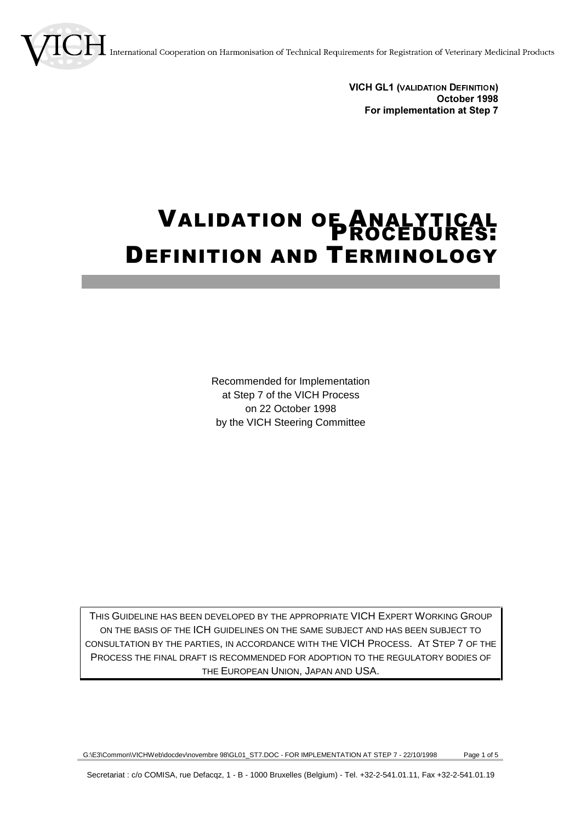International Cooperation on Harmonisation of Technical Requirements for Registration of Veterinary Medicinal Products

**VICH GL1 (VALIDATION DEFINITION)** October 1998 For implementation at Step 7

# **VALIDATION OF ANALYTICAL**<br>**PROCEDURES:** DEFINITION AND TERMINOLOGY

Recommended for Implementation at Step 7 of the VICH Process on 22 October 1998 by the VICH Steering Committee

THIS GUIDELINE HAS BEEN DEVELOPED BY THE APPROPRIATE VICH EXPERT WORKING GROUP ON THE BASIS OF THE ICH GUIDELINES ON THE SAME SUBJECT AND HAS BEEN SUBJECT TO CONSULTATION BY THE PARTIES, IN ACCORDANCE WITH THE VICH PROCESS. AT STEP 7 OF THE PROCESS THE FINAL DRAFT IS RECOMMENDED FOR ADOPTION TO THE REGULATORY BODIES OF THE EUROPEAN UNION, JAPAN AND USA.

G:\E3\Common\VICHWeb\docdev\novembre 98\GL01\_ST7.DOC - FOR IMPLEMENTATION AT STEP 7 - 22/10/1998 Page 1 of 5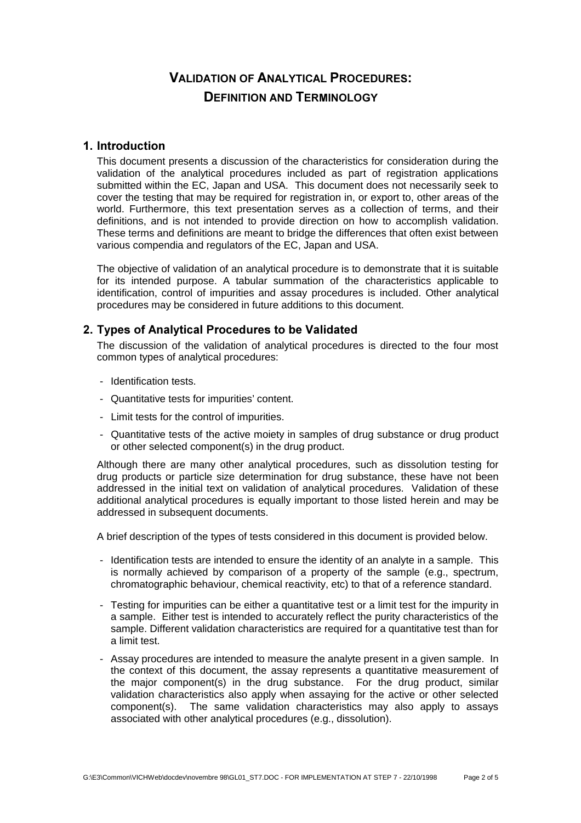# **VALIDATION OF ANALYTICAL PROCEDURES:** DEFINITION AND TERMINOLOGY

# 1. Introduction

This document presents a discussion of the characteristics for consideration during the validation of the analytical procedures included as part of registration applications submitted within the EC, Japan and USA. This document does not necessarily seek to cover the testing that may be required for registration in, or export to, other areas of the world. Furthermore, this text presentation serves as a collection of terms, and their definitions, and is not intended to provide direction on how to accomplish validation. These terms and definitions are meant to bridge the differences that often exist between various compendia and regulators of the EC, Japan and USA.

The objective of validation of an analytical procedure is to demonstrate that it is suitable for its intended purpose. A tabular summation of the characteristics applicable to identification, control of impurities and assay procedures is included. Other analytical procedures may be considered in future additions to this document.

# 2. Types of Analytical Procedures to be Validated

The discussion of the validation of analytical procedures is directed to the four most common types of analytical procedures:

- Identification tests.
- Quantitative tests for impurities' content.
- Limit tests for the control of impurities.
- Quantitative tests of the active moiety in samples of drug substance or drug product or other selected component(s) in the drug product.

Although there are many other analytical procedures, such as dissolution testing for drug products or particle size determination for drug substance, these have not been addressed in the initial text on validation of analytical procedures. Validation of these additional analytical procedures is equally important to those listed herein and may be addressed in subsequent documents.

A brief description of the types of tests considered in this document is provided below.

- Identification tests are intended to ensure the identity of an analyte in a sample. This is normally achieved by comparison of a property of the sample (e.g., spectrum, chromatographic behaviour, chemical reactivity, etc) to that of a reference standard.
- Testing for impurities can be either a quantitative test or a limit test for the impurity in a sample. Either test is intended to accurately reflect the purity characteristics of the sample. Different validation characteristics are required for a quantitative test than for a limit test.
- Assay procedures are intended to measure the analyte present in a given sample. In the context of this document, the assay represents a quantitative measurement of the major component(s) in the drug substance. For the drug product, similar validation characteristics also apply when assaying for the active or other selected component(s). The same validation characteristics may also apply to assays associated with other analytical procedures (e.g., dissolution).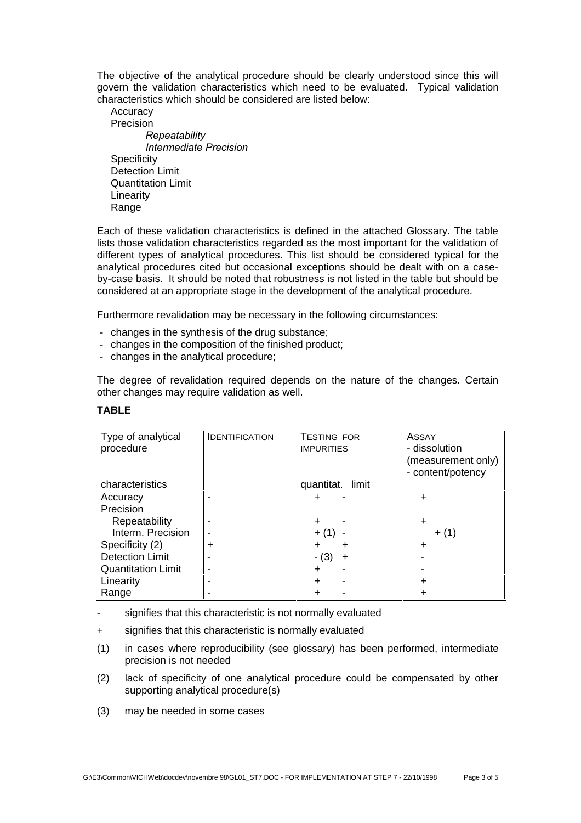The objective of the analytical procedure should be clearly understood since this will govern the validation characteristics which need to be evaluated. Typical validation characteristics which should be considered are listed below:

**Accuracy Precision**  $Repeatedability$ *Intermediate Precision* **Specificity** Detection Limit Quantitation Limit Linearity Range

Each of these validation characteristics is defined in the attached Glossary. The table lists those validation characteristics regarded as the most important for the validation of different types of analytical procedures. This list should be considered typical for the analytical procedures cited but occasional exceptions should be dealt with on a caseby-case basis. It should be noted that robustness is not listed in the table but should be considered at an appropriate stage in the development of the analytical procedure.

Furthermore revalidation may be necessary in the following circumstances:

- changes in the synthesis of the drug substance;
- changes in the composition of the finished product;
- changes in the analytical procedure;

The degree of revalidation required depends on the nature of the changes. Certain other changes may require validation as well.

#### TABLE

| Type of analytical | <b>IDENTIFICATION</b> | <b>TESTING FOR</b>  | ASSAY              |
|--------------------|-----------------------|---------------------|--------------------|
| procedure          |                       | <b>IMPURITIES</b>   | - dissolution      |
|                    |                       |                     | (measurement only) |
|                    |                       |                     | - content/potency  |
| characteristics    |                       | quantitat.<br>limit |                    |
| Accuracy           |                       |                     |                    |
| Precision          |                       |                     |                    |
| Repeatability      |                       | ╇                   | $\div$             |
| Interm. Precision  | -                     | $+ (1)$             | $+ (1)$            |
| Specificity (2)    | $\div$                | ┿                   |                    |
| Detection Limit    |                       | $- (3)$             |                    |
| Quantitation Limit |                       | +                   |                    |
| Linearity          |                       | +                   |                    |
| ∥ Range            |                       |                     |                    |

- signifies that this characteristic is not normally evaluated
- + signifies that this characteristic is normally evaluated
- (1) in cases where reproducibility (see glossary) has been performed, intermediate precision is not needed
- (2) lack of specificity of one analytical procedure could be compensated by other supporting analytical procedure(s)
- (3) may be needed in some cases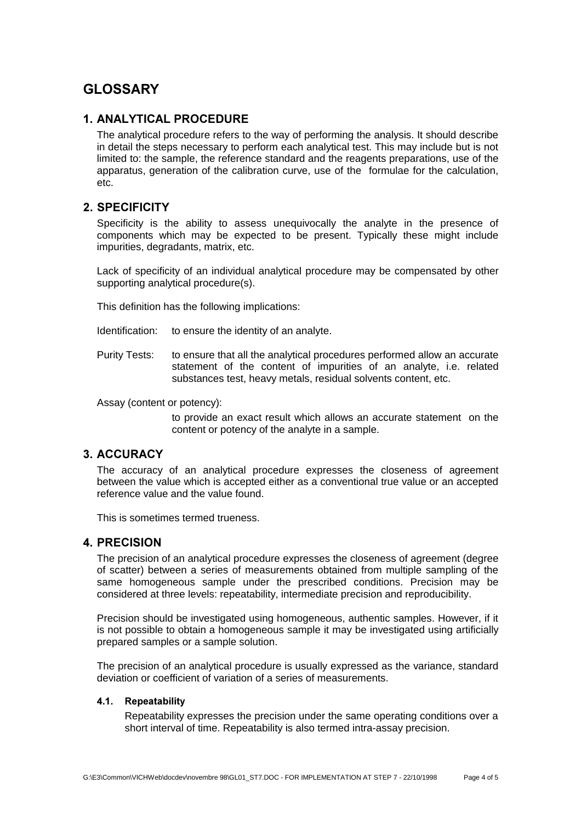# **GLOSSARY**

# 1 ANAI YTICAI PROCEDURE

The analytical procedure refers to the way of performing the analysis. It should describe in detail the steps necessary to perform each analytical test. This may include but is not limited to: the sample, the reference standard and the reagents preparations, use of the apparatus, generation of the calibration curve, use of the formulae for the calculation, etc.

# 2. SPECIFICITY

Specificity is the ability to assess unequivocally the analyte in the presence of components which may be expected to be present. Typically these might include impurities, degradants, matrix, etc.

Lack of specificity of an individual analytical procedure may be compensated by other supporting analytical procedure(s).

This definition has the following implications:

- Identification: to ensure the identity of an analyte.
- Purity Tests: to ensure that all the analytical procedures performed allow an accurate statement of the content of impurities of an analyte, i.e. related substances test, heavy metals, residual solvents content, etc.

Assay (content or potency):

to provide an exact result which allows an accurate statement on the content or potency of the analyte in a sample.

# 3. ACCURACY

The accuracy of an analytical procedure expresses the closeness of agreement between the value which is accepted either as a conventional true value or an accepted reference value and the value found.

This is sometimes termed trueness.

#### 4. PRECISION

The precision of an analytical procedure expresses the closeness of agreement (degree of scatter) between a series of measurements obtained from multiple sampling of the same homogeneous sample under the prescribed conditions. Precision may be considered at three levels: repeatability, intermediate precision and reproducibility.

Precision should be investigated using homogeneous, authentic samples. However, if it is not possible to obtain a homogeneous sample it may be investigated using artificially prepared samples or a sample solution.

The precision of an analytical procedure is usually expressed as the variance, standard deviation or coefficient of variation of a series of measurements.

#### 4.1. Repeatability

Repeatability expresses the precision under the same operating conditions over a short interval of time. Repeatability is also termed intra-assay precision.